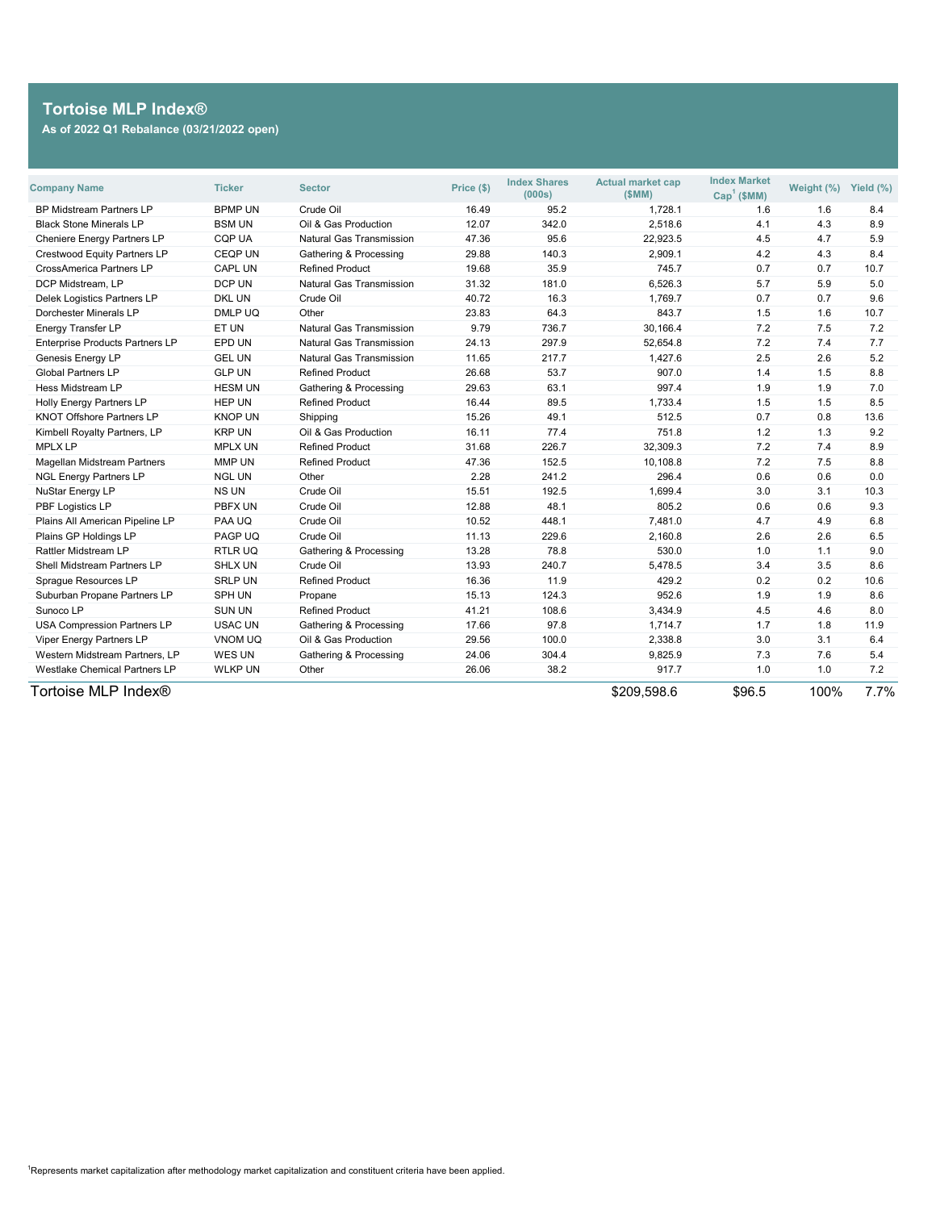| <b>Company Name</b>                    | <b>Ticker</b>  | <b>Sector</b>                     | Price (\$) | <b>Index Shares</b><br>(000s) | <b>Actual market cap</b><br>(SMM) | <b>Index Market</b><br>$Cap1$ (\$MM) | Weight (%) | Yield (%) |
|----------------------------------------|----------------|-----------------------------------|------------|-------------------------------|-----------------------------------|--------------------------------------|------------|-----------|
| <b>BP Midstream Partners LP</b>        | <b>BPMP UN</b> | Crude Oil                         | 16.49      | 95.2                          | 1,728.1                           | 1.6                                  | 1.6        | 8.4       |
| <b>Black Stone Minerals LP</b>         | <b>BSM UN</b>  | Oil & Gas Production              | 12.07      | 342.0                         | 2,518.6                           | 4.1                                  | 4.3        | 8.9       |
| <b>Cheniere Energy Partners LP</b>     | <b>CQP UA</b>  | <b>Natural Gas Transmission</b>   | 47.36      | 95.6                          | 22,923.5                          | 4.5                                  | 4.7        | 5.9       |
| <b>Crestwood Equity Partners LP</b>    | <b>CEQP UN</b> | <b>Gathering &amp; Processing</b> | 29.88      | 140.3                         | 2,909.1                           | 4.2                                  | 4.3        | 8.4       |
| <b>CrossAmerica Partners LP</b>        | <b>CAPL UN</b> | <b>Refined Product</b>            | 19.68      | 35.9                          | 745.7                             | 0.7                                  | 0.7        | 10.7      |
| DCP Midstream, LP                      | DCP UN         | <b>Natural Gas Transmission</b>   | 31.32      | 181.0                         | 6,526.3                           | 5.7                                  | 5.9        | 5.0       |
| <b>Delek Logistics Partners LP</b>     | <b>DKL UN</b>  | Crude Oil                         | 40.72      | 16.3                          | 1,769.7                           | 0.7                                  | 0.7        | 9.6       |
| Dorchester Minerals LP                 | DMLP UQ        | Other                             | 23.83      | 64.3                          | 843.7                             | 1.5                                  | 1.6        | 10.7      |
| <b>Energy Transfer LP</b>              | ET UN          | <b>Natural Gas Transmission</b>   | 9.79       | 736.7                         | 30,166.4                          | 7.2                                  | 7.5        | 7.2       |
| <b>Enterprise Products Partners LP</b> | EPD UN         | <b>Natural Gas Transmission</b>   | 24.13      | 297.9                         | 52,654.8                          | 7.2                                  | 7.4        | 7.7       |
| <b>Genesis Energy LP</b>               | <b>GEL UN</b>  | <b>Natural Gas Transmission</b>   | 11.65      | 217.7                         | 1,427.6                           | 2.5                                  | 2.6        | 5.2       |
| <b>Global Partners LP</b>              | <b>GLP UN</b>  | <b>Refined Product</b>            | 26.68      | 53.7                          | 907.0                             | 1.4                                  | 1.5        | 8.8       |
| <b>Hess Midstream LP</b>               | <b>HESM UN</b> | <b>Gathering &amp; Processing</b> | 29.63      | 63.1                          | 997.4                             | 1.9                                  | 1.9        | 7.0       |
| <b>Holly Energy Partners LP</b>        | <b>HEP UN</b>  | <b>Refined Product</b>            | 16.44      | 89.5                          | 1,733.4                           | 1.5                                  | 1.5        | 8.5       |
| <b>KNOT Offshore Partners LP</b>       | <b>KNOP UN</b> | Shipping                          | 15.26      | 49.1                          | 512.5                             | 0.7                                  | 0.8        | 13.6      |
| Kimbell Royalty Partners, LP           | <b>KRP UN</b>  | Oil & Gas Production              | 16.11      | 77.4                          | 751.8                             | 1.2                                  | 1.3        | 9.2       |
| <b>MPLX LP</b>                         | <b>MPLX UN</b> | <b>Refined Product</b>            | 31.68      | 226.7                         | 32,309.3                          | 7.2                                  | 7.4        | 8.9       |
| <b>Magellan Midstream Partners</b>     | MMP UN         | <b>Refined Product</b>            | 47.36      | 152.5                         | 10,108.8                          | 7.2                                  | 7.5        | 8.8       |
| <b>NGL Energy Partners LP</b>          | <b>NGL UN</b>  | Other                             | 2.28       | 241.2                         | 296.4                             | 0.6                                  | 0.6        | 0.0       |
| <b>NuStar Energy LP</b>                | <b>NS UN</b>   | Crude Oil                         | 15.51      | 192.5                         | 1,699.4                           | 3.0                                  | 3.1        | 10.3      |
| PBF Logistics LP                       | PBFX UN        | Crude Oil                         | 12.88      | 48.1                          | 805.2                             | 0.6                                  | 0.6        | 9.3       |
| Plains All American Pipeline LP        | PAA UQ         | Crude Oil                         | 10.52      | 448.1                         | 7,481.0                           | 4.7                                  | 4.9        | 6.8       |
| Plains GP Holdings LP                  | PAGP UQ        | Crude Oil                         | 11.13      | 229.6                         | 2,160.8                           | 2.6                                  | 2.6        | 6.5       |
| <b>Rattler Midstream LP</b>            | <b>RTLRUQ</b>  | Gathering & Processing            | 13.28      | 78.8                          | 530.0                             | 1.0                                  | 1.1        | 9.0       |
| <b>Shell Midstream Partners LP</b>     | <b>SHLX UN</b> | Crude Oil                         | 13.93      | 240.7                         | 5,478.5                           | 3.4                                  | 3.5        | 8.6       |
| Sprague Resources LP                   | <b>SRLP UN</b> | <b>Refined Product</b>            | 16.36      | 11.9                          | 429.2                             | 0.2                                  | 0.2        | 10.6      |
| Suburban Propane Partners LP           | <b>SPH UN</b>  | Propane                           | 15.13      | 124.3                         | 952.6                             | 1.9                                  | 1.9        | 8.6       |
| Sunoco LP                              | <b>SUN UN</b>  | <b>Refined Product</b>            | 41.21      | 108.6                         | 3,434.9                           | 4.5                                  | 4.6        | 8.0       |
| <b>USA Compression Partners LP</b>     | <b>USAC UN</b> | <b>Gathering &amp; Processing</b> | 17.66      | 97.8                          | 1,714.7                           | 1.7                                  | 1.8        | 11.9      |
| <b>Viper Energy Partners LP</b>        | <b>VNOM UQ</b> | Oil & Gas Production              | 29.56      | 100.0                         | 2,338.8                           | 3.0                                  | 3.1        | 6.4       |
| <b>Western Midstream Partners, LP</b>  | WES UN         | <b>Gathering &amp; Processing</b> | 24.06      | 304.4                         | 9,825.9                           | 7.3                                  | 7.6        | 5.4       |
| <b>Westlake Chemical Partners LP</b>   | <b>WLKP UN</b> | Other                             | 26.06      | 38.2                          | 917.7                             | 1.0                                  | 1.0        | 7.2       |
| Tortoise MLP Index®                    |                |                                   |            |                               | \$209,598.6                       | \$96.5                               | 100%       | $7.7\%$   |

 $1$ Represents market capitalization after methodology market capitalization and constituent criteria have been applied.

## **Tortoise MLP Index® As of 2022 Q1 Rebalance (03/21/2022 open)**